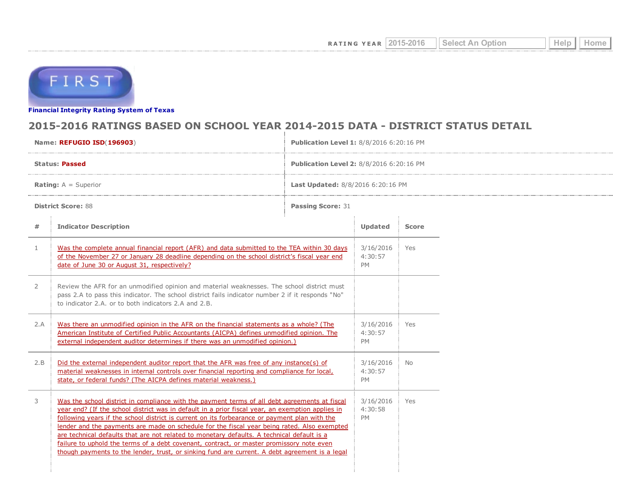

Financial [Integrity](http://tea4avwaylon.tea.state.tx.us/First/forms/main.aspx) Rating System of Texas

## 2015-2016 RATINGS BASED ON SCHOOL YEAR 2014-2015 DATA - DISTRICT STATUS DETAIL

| Name: REFUGIO ISD(196903)     |                                                                                                                                                                                                                                                                                                                                                                                                                                                                                                                                                                                                                                                                                               | Publication Level 1: 8/8/2016 6:20:16 PM |                                   |              |  |
|-------------------------------|-----------------------------------------------------------------------------------------------------------------------------------------------------------------------------------------------------------------------------------------------------------------------------------------------------------------------------------------------------------------------------------------------------------------------------------------------------------------------------------------------------------------------------------------------------------------------------------------------------------------------------------------------------------------------------------------------|------------------------------------------|-----------------------------------|--------------|--|
| <b>Status: Passed</b>         |                                                                                                                                                                                                                                                                                                                                                                                                                                                                                                                                                                                                                                                                                               | Publication Level 2: 8/8/2016 6:20:16 PM |                                   |              |  |
| <b>Rating:</b> $A =$ Superior |                                                                                                                                                                                                                                                                                                                                                                                                                                                                                                                                                                                                                                                                                               | Last Updated: 8/8/2016 6:20:16 PM        |                                   |              |  |
| <b>District Score: 88</b>     |                                                                                                                                                                                                                                                                                                                                                                                                                                                                                                                                                                                                                                                                                               | <b>Passing Score: 31</b>                 |                                   |              |  |
| #                             | <b>Indicator Description</b>                                                                                                                                                                                                                                                                                                                                                                                                                                                                                                                                                                                                                                                                  |                                          | <b>Updated</b>                    | <b>Score</b> |  |
| $\mathbf{1}$                  | Was the complete annual financial report (AFR) and data submitted to the TEA within 30 days<br>of the November 27 or January 28 deadline depending on the school district's fiscal year end<br>date of June 30 or August 31, respectively?                                                                                                                                                                                                                                                                                                                                                                                                                                                    |                                          | 3/16/2016<br>4:30:57<br><b>PM</b> | Yes          |  |
| $\mathbf{2}$                  | Review the AFR for an unmodified opinion and material weaknesses. The school district must<br>pass 2.A to pass this indicator. The school district fails indicator number 2 if it responds "No"<br>to indicator 2.A, or to both indicators 2.A and 2.B.                                                                                                                                                                                                                                                                                                                                                                                                                                       |                                          |                                   |              |  |
| 2.A                           | Was there an unmodified opinion in the AFR on the financial statements as a whole? (The<br>American Institute of Certified Public Accountants (AICPA) defines unmodified opinion. The<br>external independent auditor determines if there was an unmodified opinion.)                                                                                                                                                                                                                                                                                                                                                                                                                         |                                          | 3/16/2016<br>4:30:57<br>PM        | Yes          |  |
| 2.B                           | Did the external independent auditor report that the AFR was free of any instance(s) of<br>material weaknesses in internal controls over financial reporting and compliance for local,<br>state, or federal funds? (The AICPA defines material weakness.)                                                                                                                                                                                                                                                                                                                                                                                                                                     |                                          | 3/16/2016<br>4:30:57<br><b>PM</b> | No.          |  |
| 3                             | Was the school district in compliance with the payment terms of all debt agreements at fiscal<br>year end? (If the school district was in default in a prior fiscal year, an exemption applies in<br>following years if the school district is current on its forbearance or payment plan with the<br>lender and the payments are made on schedule for the fiscal year being rated. Also exempted<br>are technical defaults that are not related to monetary defaults. A technical default is a<br>failure to uphold the terms of a debt covenant, contract, or master promissory note even<br>though payments to the lender, trust, or sinking fund are current. A debt agreement is a legal |                                          | 3/16/2016<br>4:30:58<br><b>PM</b> | Yes          |  |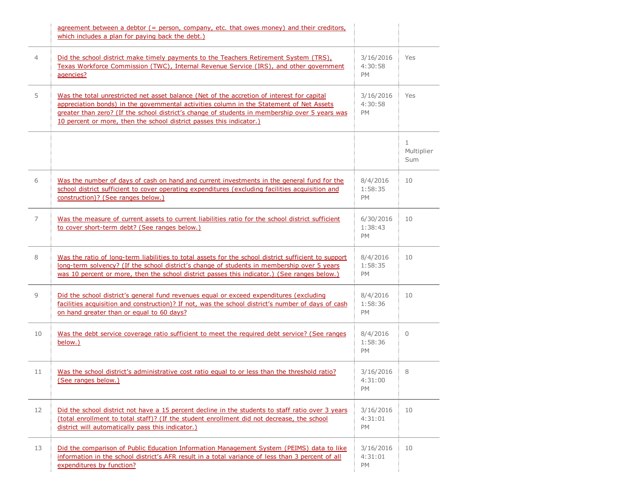|    | agreement between a debtor $($ = person, company, etc. that owes money) and their creditors,<br>which includes a plan for paying back the debt.)                                                                                                                                                                                                                 |                                   |                                   |
|----|------------------------------------------------------------------------------------------------------------------------------------------------------------------------------------------------------------------------------------------------------------------------------------------------------------------------------------------------------------------|-----------------------------------|-----------------------------------|
| 4  | Did the school district make timely payments to the Teachers Retirement System (TRS),<br>Texas Workforce Commission (TWC), Internal Revenue Service (IRS), and other government<br>agencies?                                                                                                                                                                     |                                   | Yes                               |
| 5  | Was the total unrestricted net asset balance (Net of the accretion of interest for capital<br>appreciation bonds) in the governmental activities column in the Statement of Net Assets<br>greater than zero? (If the school district's change of students in membership over 5 years was<br>10 percent or more, then the school district passes this indicator.) | 3/16/2016<br>4:30:58<br><b>PM</b> | Yes                               |
|    |                                                                                                                                                                                                                                                                                                                                                                  |                                   | $\mathbf{1}$<br>Multiplier<br>Sum |
| 6  | Was the number of days of cash on hand and current investments in the general fund for the<br>school district sufficient to cover operating expenditures (excluding facilities acquisition and<br>construction)? (See ranges below.)                                                                                                                             | 8/4/2016<br>1:58:35<br><b>PM</b>  | 10                                |
| 7  | Was the measure of current assets to current liabilities ratio for the school district sufficient<br>to cover short-term debt? (See ranges below.)                                                                                                                                                                                                               | 6/30/2016<br>1:38:43<br><b>PM</b> | 10                                |
| 8  | Was the ratio of long-term liabilities to total assets for the school district sufficient to support<br>long-term solvency? (If the school district's change of students in membership over 5 years<br>was 10 percent or more, then the school district passes this indicator.) (See ranges below.)                                                              | 8/4/2016<br>1:58:35<br>PM         | 10                                |
| 9  | Did the school district's general fund revenues equal or exceed expenditures (excluding<br>facilities acquisition and construction)? If not, was the school district's number of days of cash<br>on hand greater than or equal to 60 days?                                                                                                                       | 8/4/2016<br>1:58:36<br><b>PM</b>  | 10                                |
| 10 | Was the debt service coverage ratio sufficient to meet the required debt service? (See ranges<br>below.)                                                                                                                                                                                                                                                         | 8/4/2016<br>1:58:36<br>PM         | $\mathbf{0}$                      |
| 11 | Was the school district's administrative cost ratio equal to or less than the threshold ratio?<br>(See ranges below.)                                                                                                                                                                                                                                            | 3/16/2016<br>4:31:00<br>PM        | 8                                 |
| 12 | Did the school district not have a 15 percent decline in the students to staff ratio over 3 years<br>(total enrollment to total staff)? (If the student enrollment did not decrease, the school<br>district will automatically pass this indicator.)                                                                                                             | 3/16/2016<br>4:31:01<br>PM        | 10                                |
| 13 | Did the comparison of Public Education Information Management System (PEIMS) data to like<br>information in the school district's AFR result in a total variance of less than 3 percent of all<br>expenditures by function?                                                                                                                                      | 3/16/2016<br>4:31:01<br>PM        | 10                                |